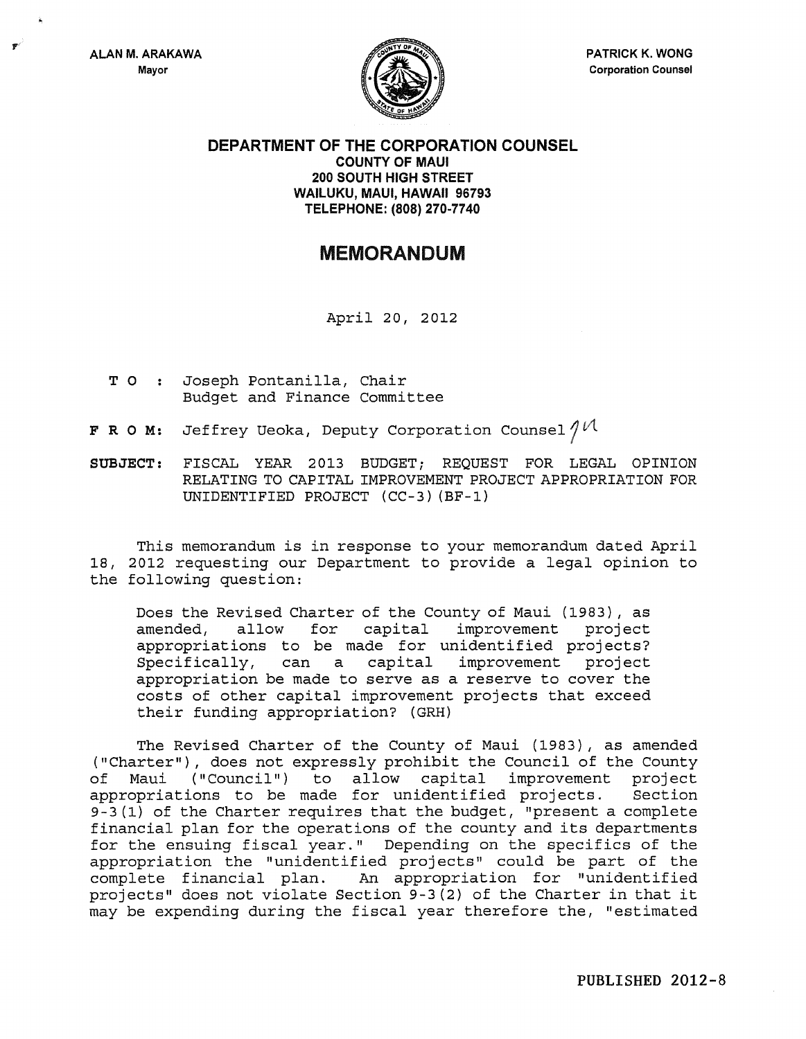

DEPARTMENT OF THE CORPORATION COUNSEL COUNTY OF MAUl 200 SOUTH HIGH STREET WAILUKU, MAUl, HAWAII 96793 TELEPHONE: (808) 270-7740

## MEMORANDUM

April 20, 2012

- T 0 Joseph Pontanilla, Chair Budget and Finance Committee
- **F R O M:** Jeffrey Ueoka, Deputy Corporation Counsel  $\ell^{\mathcal{U}}$
- SUBJECT: FISCAL YEAR 2013 BUDGET; REQUEST FOR LEGAL OPINION RELATING TO CAPITAL IMPROVEMENT PROJECT APPROPRIATION FOR UNIDENTIFIED PROJECT (CC-3) (BF-1)

This memorandum is in response to your memorandum dated April 18, 2012 requesting our Department to provide a legal opinion to the following question:

Does the Revised Charter of the County of Maui (1983), as<br>amended, allow for capital improvement project amended, allow for capital improvement project appropriations to be made for unidentified projects? Specifically, can a capital improvement project appropriation be made to serve as a reserve to cover the costs of other capital improvement projects that exceed their funding appropriation? (GRH)

The Revised Charter of the County of Maui (1983), as amended ("Charter"), does not expressly prohibit the Council of the County of Maui ("Council") to allow capital improvement project appropriations to be made for unidentified projects. 9-3 (1) of the Charter requires that the budget, "present a complete financial plan for the operations of the county and its departments for the ensuing fiscal year." Depending on the specifics of the appropriation the "unidentified projects" could be part of the complete financial plan. An appropriation for "unidentified projects" does not violate Section 9-3 (2) of the Charter in that it may be expending during the fiscal year therefore the, "estimated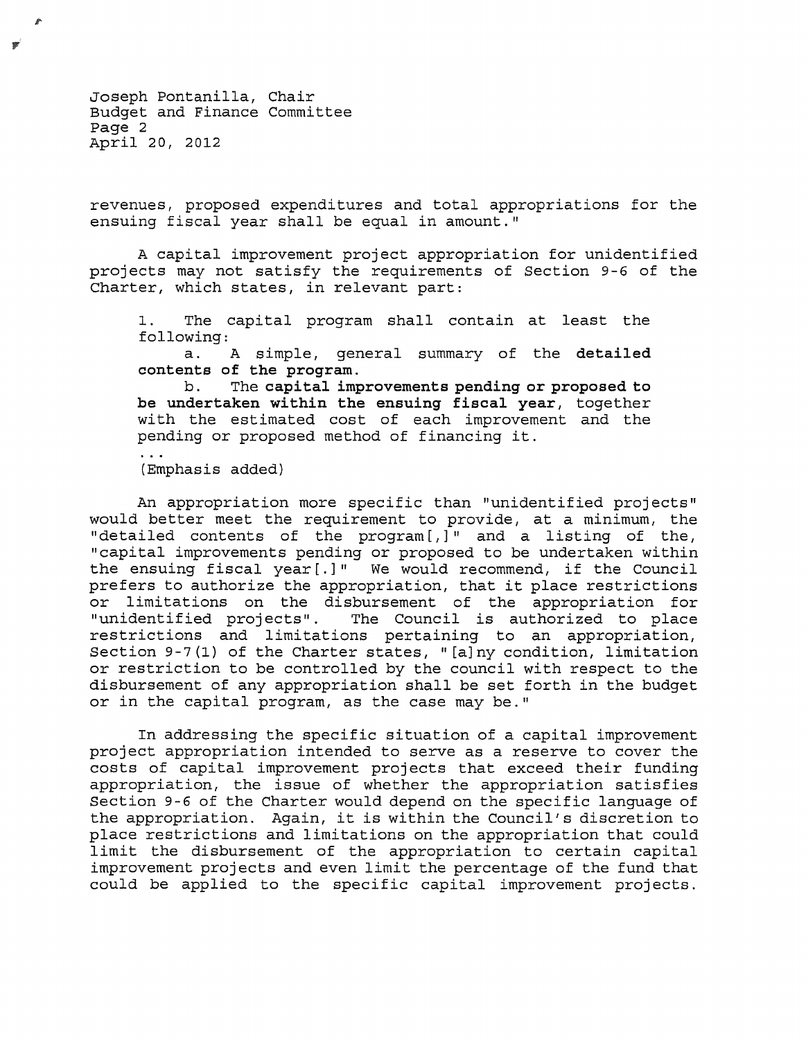Joseph Pontanilla, Chair Budget and Finance Committee Page 2 April 20, 2012

revenues, proposed expenditures and total appropriations for the ensuing fiscal year shall be equal in amount."

A capital improvement project appropriation for unidentified projects may not satisfy the requirements of Section 9-6 of the Charter, which states, in relevant part:

1. The capital program shall contain at least the following:

a. A simple, general summary of the **detailed contents of the program.** 

b. The **capital improvements pending or proposed to be undertaken within the ensuing fiscal year,** together with the estimated cost of each improvement and the pending or proposed method of financing it.

(Emphasis added)

An appropriation more specific than "unidentified projects" would better meet the requirement to provide, at a minimum, the "detailed contents of the program[,]" and a listing of the, "capital improvements pending or proposed to be undertaken within the ensuing fiscal year [.] " We would recommend, if the Council prefers to authorize the appropriation, that it place restrictions or limitations on the disbursement of the appropriation for<br>"unidentified projects". The Council is authorized to place The Council is authorized to place restrictions and limitations pertaining to an appropriation, Section 9-7(1) of the Charter states, "[a]ny condition, limitation or restriction to be controlled by the council with respect to the disbursement of any appropriation shall be set forth in the budget or in the capital program, as the case may be."

In addressing the specific situation of a capital improvement project appropriation intended to serve as a reserve to cover the costs of capital improvement projects that exceed their funding appropriation, the issue of whether the appropriation satisfies Section 9-6 of the Charter would depend on the specific language of the appropriation. Again, it is within the Council's discretion to place restrictions and limitations on the appropriation that could limit the disbursement of the appropriation to certain capital improvement projects and even limit the percentage of the fund that could be applied to the specific capital improvement projects.